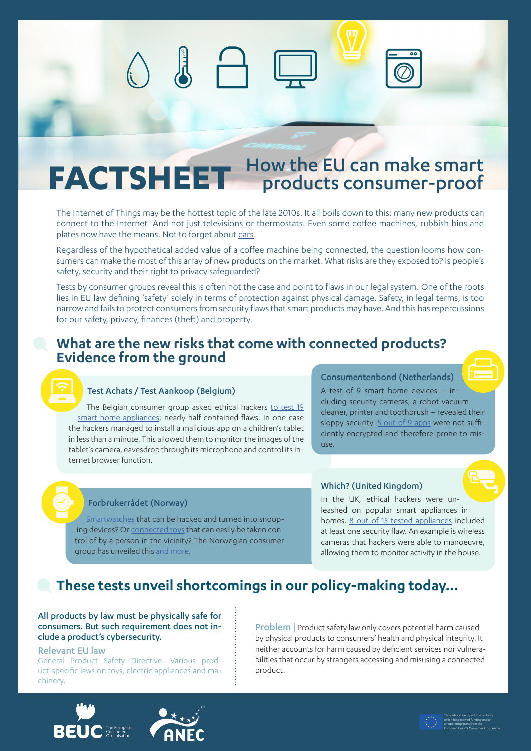# FACTSHEET How the EU can make smart

The Internet of Things may be the hottest topic of the late 2010s. It all boils down to this: many new products can connect to the Internet. And not just televisions or thermostats. Even some coffee machines, rubbish bins and plates now have the means. Not to forget about [cars](https://www.beuc.eu/publications/beuc-x-2018-077-cars-of-the-future-challenges-for-consumer-policy.pdf).

Regardless of the hypothetical added value of a coffee machine being connected, the question looms how consumers can make the most of this array of new products on the market. What risks are they exposed to? Is people's safety, security and their right to privacy safeguarded?

Tests by consumer groups reveal this is often not the case and point to flaws in our legal system. One of the roots lies in EU law defining 'safety' solely in terms of protection against physical damage. Safety, in legal terms, is too narrow and fails to protect consumers from security flaws that smart products may have. And this has repercussions for our safety, privacy, finances (theft) and property.

# **What are the new risks that come with connected products? Evidence from the ground**

# Test Achats / Test Aankoop (Belgium)

The Belgian consumer group asked ethical hackers [to test 19](https://www.test-aankoop.be/hightech/internet/nieuws/slimme-woning)  [smart home appliances:](https://www.test-aankoop.be/hightech/internet/nieuws/slimme-woning) nearly half contained flaws. In one case the hackers managed to install a malicious app on a children's tablet in less than a minute. This allowed them to monitor the images of the tablet's camera, eavesdrop through its microphone and control its Internet browser function.

## Consumentenbond (Netherlands)

A test of 9 smart home devices – including security cameras, a robot vacuum cleaner, printer and toothbrush – revealed their sloppy security. [5 out of 9 apps](https://www.consumentenbond.nl/nieuws/2018/blaupunkt-robotstofzuiger-lekt-inloggegevens) were not sufficiently encrypted and therefore prone to misuse.

#### Forbrukerrådet (Norway)

[Smartwatches](https://www.forbrukerradet.no/side/significant-security-flaws-in-smartwatches-for-children/) that can be hacked and turned into snooping devices? Or [connected toys](https://www.forbrukerradet.no/siste-nytt/connected-toys-violate-consumer-laws/) that can easily be taken control of by a person in the vicinity? The Norwegian consumer group has unveiled this [and more.](https://www.ted.com/talks/finn_myrstad_how_tech_companies_deceive_you_into_giving_up_your_data_and_privacy#t-272026)

## Which? (United Kingdom)

In the UK, ethical hackers were unleashed on popular smart appliances in homes. [8 out of 15 tested appliances](https://press.which.co.uk/whichpressreleases/the-hackable-home-investigation-exposes-vulnerability-of-smart-home-devices/) included at least one security flaw. An example is wireless cameras that hackers were able to manoeuvre, allowing them to monitor activity in the house.

# **These tests unveil shortcomings in our policy-making today…**

All products by law must be physically safe for consumers. But such requirement does not include a product's cybersecurity.

#### Relevant EU law

General Product Safety Directive. Various product-specific laws on toys, electric appliances and machinery.

Problem | Product safety law only covers potential harm caused by physical products to consumers' health and physical integrity. It neither accounts for harm caused by deficient services nor vulnerabilities that occur by strangers accessing and misusing a connected product.